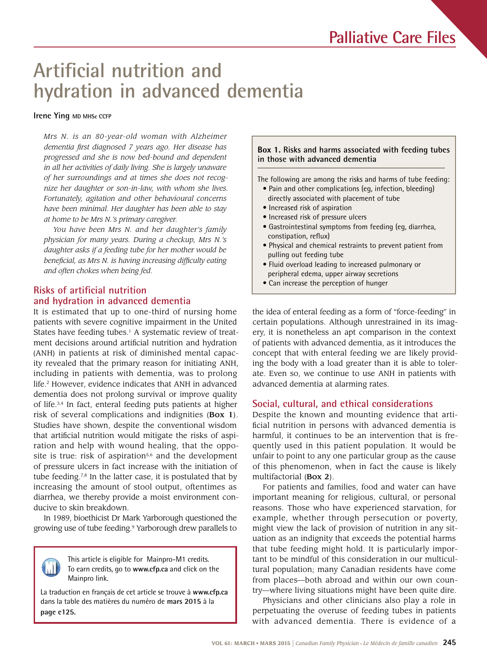# **Artificial nutrition and hydration in advanced dementia**

#### **Irene Ying MD MHSc CCFP**

*Mrs N. is an 80-year-old woman with Alzheimer dementia first diagnosed 7 years ago. Her disease has progressed and she is now bed-bound and dependent in all her activities of daily living. She is largely unaware of her surroundings and at times she does not recognize her daughter or son-in-law, with whom she lives. Fortunately, agitation and other behavioural concerns have been minimal. Her daughter has been able to stay at home to be Mrs N.'s primary caregiver.*

*You have been Mrs N. and her daughter's family physician for many years. During a checkup, Mrs N.'s daughter asks if a feeding tube for her mother would be beneficial, as Mrs N. is having increasing difficulty eating and often chokes when being fed.*

### **Risks of artificial nutrition and hydration in advanced dementia**

It is estimated that up to one-third of nursing home patients with severe cognitive impairment in the United States have feeding tubes.<sup>1</sup> A systematic review of treatment decisions around artificial nutrition and hydration (ANH) in patients at risk of diminished mental capacity revealed that the primary reason for initiating ANH, including in patients with dementia, was to prolong life.2 However, evidence indicates that ANH in advanced dementia does not prolong survival or improve quality of life.3,4 In fact, enteral feeding puts patients at higher risk of several complications and indignities (Box 1). Studies have shown, despite the conventional wisdom that artificial nutrition would mitigate the risks of aspiration and help with wound healing, that the opposite is true: risk of aspiration $5,6$  and the development of pressure ulcers in fact increase with the initiation of tube feeding.<sup>7,8</sup> In the latter case, it is postulated that by increasing the amount of stool output, oftentimes as diarrhea, we thereby provide a moist environment conducive to skin breakdown.

In 1989, bioethicist Dr Mark Yarborough questioned the growing use of tube feeding.9 Yarborough drew parallels to



This article is eligible for **Mainpro-M1** credits. To earn To earn credits, go to www.cfp.ca and click on the This article is eligible for Mainpro-M1 credits. Mainpro link.

La traduction en français de cet article se trouve à **www.cfp.ca**  dans la table des matières du numéro de **mars 2015** à la **page e125.**

#### **Box 1. Risks and harms associated with feeding tubes in those with advanced dementia**

The following are among the risks and harms of tube feeding:

- Pain and other complications (eg, infection, bleeding) directly associated with placement of tube
- Increased risk of aspiration
- Increased risk of pressure ulcers
- Gastrointestinal symptoms from feeding (eg, diarrhea, constipation, reflux)
- Physical and chemical restraints to prevent patient from pulling out feeding tube
- Fluid overload leading to increased pulmonary or peripheral edema, upper airway secretions
- Can increase the perception of hunger

the idea of enteral feeding as a form of "force-feeding" in certain populations. Although unrestrained in its imagery, it is nonetheless an apt comparison in the context of patients with advanced dementia, as it introduces the concept that with enteral feeding we are likely providing the body with a load greater than it is able to tolerate. Even so, we continue to use ANH in patients with advanced dementia at alarming rates.

#### **Social, cultural, and ethical considerations**

Despite the known and mounting evidence that artificial nutrition in persons with advanced dementia is harmful, it continues to be an intervention that is frequently used in this patient population. It would be unfair to point to any one particular group as the cause of this phenomenon, when in fact the cause is likely multifactorial (Box 2).

For patients and families, food and water can have important meaning for religious, cultural, or personal reasons. Those who have experienced starvation, for example, whether through persecution or poverty, might view the lack of provision of nutrition in any situation as an indignity that exceeds the potential harms that tube feeding might hold. It is particularly important to be mindful of this consideration in our multicultural population; many Canadian residents have come from places—both abroad and within our own country—where living situations might have been quite dire.

Physicians and other clinicians also play a role in perpetuating the overuse of feeding tubes in patients with advanced dementia. There is evidence of a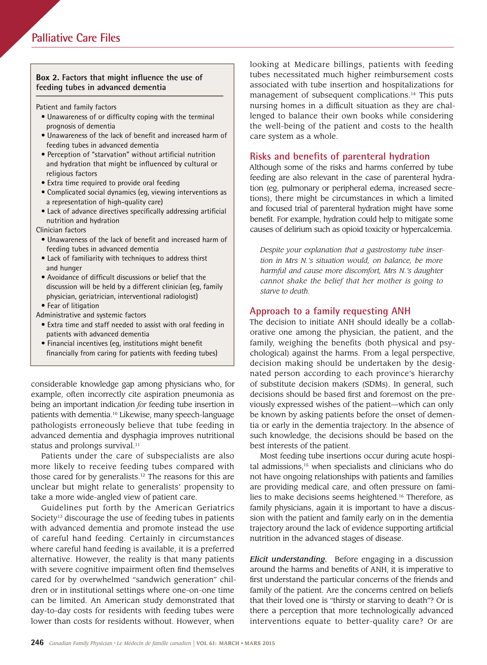#### **Box 2. Factors that might influence the use of feeding tubes in advanced dementia**

Patient and family factors

- Unawareness of or difficulty coping with the terminal prognosis of dementia
- Unawareness of the lack of benefit and increased harm of feeding tubes in advanced dementia
- Perception of "starvation" without artificial nutrition and hydration that might be influenced by cultural or religious factors
- Extra time required to provide oral feeding
- Complicated social dynamics (eg, viewing interventions as a representation of high-quality care)
- Lack of advance directives specifically addressing artificial nutrition and hydration

Clinician factors

- Unawareness of the lack of benefit and increased harm of feeding tubes in advanced dementia
- Lack of familiarity with techniques to address thirst and hunger
- Avoidance of difficult discussions or belief that the discussion will be held by a different clinician (eg, family physician, geriatrician, interventional radiologist) • Fear of litigation
- Administrative and systemic factors
	- Extra time and staff needed to assist with oral feeding in patients with advanced dementia
	- Financial incentives (eg, institutions might benefit financially from caring for patients with feeding tubes)

considerable knowledge gap among physicians who, for example, often incorrectly cite aspiration pneumonia as being an important indication *for* feeding tube insertion in patients with dementia.10 Likewise, many speech-language pathologists erroneously believe that tube feeding in advanced dementia and dysphagia improves nutritional status and prolongs survival.<sup>11</sup>

Patients under the care of subspecialists are also more likely to receive feeding tubes compared with those cared for by generalists.12 The reasons for this are unclear but might relate to generalists' propensity to take a more wide-angled view of patient care.

Guidelines put forth by the American Geriatrics Society<sup>13</sup> discourage the use of feeding tubes in patients with advanced dementia and promote instead the use of careful hand feeding. Certainly in circumstances where careful hand feeding is available, it is a preferred alternative. However, the reality is that many patients with severe cognitive impairment often find themselves cared for by overwhelmed "sandwich generation" children or in institutional settings where one-on-one time can be limited. An American study demonstrated that day-to-day costs for residents with feeding tubes were lower than costs for residents without. However, when

looking at Medicare billings, patients with feeding tubes necessitated much higher reimbursement costs associated with tube insertion and hospitalizations for management of subsequent complications.<sup>14</sup> This puts nursing homes in a difficult situation as they are challenged to balance their own books while considering the well-being of the patient and costs to the health care system as a whole.

### **Risks and benefits of parenteral hydration**

Although some of the risks and harms conferred by tube feeding are also relevant in the case of parenteral hydration (eg, pulmonary or peripheral edema, increased secretions), there might be circumstances in which a limited and focused trial of parenteral hydration might have some benefit. For example, hydration could help to mitigate some causes of delirium such as opioid toxicity or hypercalcemia.

*Despite your explanation that a gastrostomy tube insertion in Mrs N.'s situation would, on balance, be more harmful and cause more discomfort, Mrs N.'s daughter cannot shake the belief that her mother is going to starve to death.*

#### **Approach to a family requesting ANH**

The decision to initiate ANH should ideally be a collaborative one among the physician, the patient, and the family, weighing the benefits (both physical and psychological) against the harms. From a legal perspective, decision making should be undertaken by the designated person according to each province's hierarchy of substitute decision makers (SDMs). In general, such decisions should be based first and foremost on the previously expressed wishes of the patient—which can only be known by asking patients before the onset of dementia or early in the dementia trajectory. In the absence of such knowledge, the decisions should be based on the best interests of the patient.

Most feeding tube insertions occur during acute hospital admissions, $15$  when specialists and clinicians who do not have ongoing relationships with patients and families are providing medical care, and often pressure on families to make decisions seems heightened.16 Therefore, as family physicians, again it is important to have a discussion with the patient and family early on in the dementia trajectory around the lack of evidence supporting artificial nutrition in the advanced stages of disease.

*Elicit understanding.* Before engaging in a discussion around the harms and benefits of ANH, it is imperative to first understand the particular concerns of the friends and family of the patient. Are the concerns centred on beliefs that their loved one is "thirsty or starving to death"? Or is there a perception that more technologically advanced interventions equate to better-quality care? Or are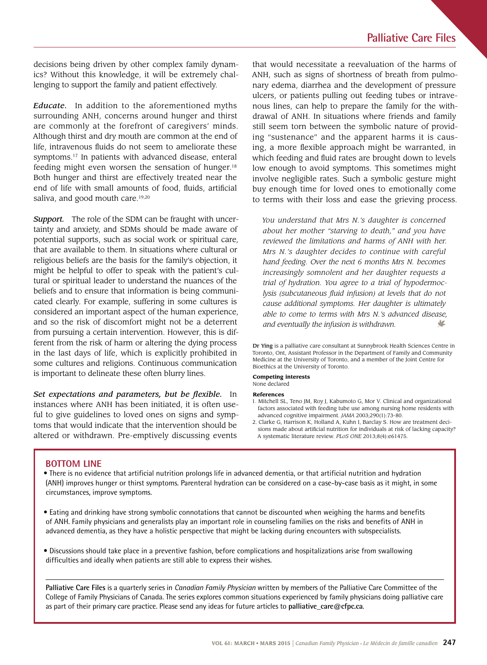decisions being driven by other complex family dynamics? Without this knowledge, it will be extremely challenging to support the family and patient effectively.

*Educate.* In addition to the aforementioned myths surrounding ANH, concerns around hunger and thirst are commonly at the forefront of caregivers' minds. Although thirst and dry mouth are common at the end of life, intravenous fluids do not seem to ameliorate these symptoms.17 In patients with advanced disease, enteral feeding might even worsen the sensation of hunger.<sup>18</sup> Both hunger and thirst are effectively treated near the end of life with small amounts of food, fluids, artificial saliva, and good mouth care.<sup>19,20</sup>

*Support.* The role of the SDM can be fraught with uncertainty and anxiety, and SDMs should be made aware of potential supports, such as social work or spiritual care, that are available to them. In situations where cultural or religious beliefs are the basis for the family's objection, it might be helpful to offer to speak with the patient's cultural or spiritual leader to understand the nuances of the beliefs and to ensure that information is being communicated clearly. For example, suffering in some cultures is considered an important aspect of the human experience, and so the risk of discomfort might not be a deterrent from pursuing a certain intervention. However, this is different from the risk of harm or altering the dying process in the last days of life, which is explicitly prohibited in some cultures and religions. Continuous communication is important to delineate these often blurry lines.

*Set expectations and parameters, but be flexible.* In instances where ANH has been initiated, it is often useful to give guidelines to loved ones on signs and symptoms that would indicate that the intervention should be altered or withdrawn. Pre-emptively discussing events

that would necessitate a reevaluation of the harms of ANH, such as signs of shortness of breath from pulmonary edema, diarrhea and the development of pressure ulcers, or patients pulling out feeding tubes or intravenous lines, can help to prepare the family for the withdrawal of ANH. In situations where friends and family still seem torn between the symbolic nature of providing "sustenance" and the apparent harms it is causing, a more flexible approach might be warranted, in which feeding and fluid rates are brought down to levels low enough to avoid symptoms. This sometimes might involve negligible rates. Such a symbolic gesture might buy enough time for loved ones to emotionally come to terms with their loss and ease the grieving process.

*You understand that Mrs N.'s daughter is concerned about her mother "starving to death," and you have reviewed the limitations and harms of ANH with her. Mrs N.'s daughter decides to continue with careful hand feeding. Over the next 6 months Mrs N. becomes increasingly somnolent and her daughter requests a trial of hydration. You agree to a trial of hypodermoclysis (subcutaneous fluid infusion) at levels that do not cause additional symptoms. Her daughter is ultimately able to come to terms with Mrs N.'s advanced disease, and eventually the infusion is withdrawn.* V

Dr Ying is a palliative care consultant at Sunnybrook Health Sciences Centre in Toronto, Ont, Assistant Professor in the Department of Family and Community Medicine at the University of Toronto, and a member of the Joint Centre for Bioethics at the University of Toronto.

#### **Competing interests** None declared

#### **References**

- 1. Mitchell SL, Teno JM, Roy J, Kabumoto G, Mor V. Clinical and organizational factors associated with feeding tube use among nursing home residents with advanced cognitive impairment. *JAMA* 2003;290(1):73-80.
- 2. Clarke G, Harrison K, Holland A, Kuhn I, Barclay S. How are treatment decisions made about artificial nutrition for individuals at risk of lacking capacity? A systematic literature review. *PLoS ONE* 2013;8(4):e61475.

#### **BOTTOM LINE**

- There is no evidence that artificial nutrition prolongs life in advanced dementia, or that artificial nutrition and hydration (ANH) improves hunger or thirst symptoms. Parenteral hydration can be considered on a case-by-case basis as it might, in some circumstances, improve symptoms.
- Eating and drinking have strong symbolic connotations that cannot be discounted when weighing the harms and benefits of ANH. Family physicians and generalists play an important role in counseling families on the risks and benefits of ANH in advanced dementia, as they have a holistic perspective that might be lacking during encounters with subspecialists.
- Discussions should take place in a preventive fashion, before complications and hospitalizations arise from swallowing difficulties and ideally when patients are still able to express their wishes.

**Palliative Care Files** is a quarterly series in *Canadian Family Physician* written by members of the Palliative Care Committee of the College of Family Physicians of Canada. The series explores common situations experienced by family physicians doing palliative care as part of their primary care practice. Please send any ideas for future articles to **palliative\_care@cfpc.ca**.